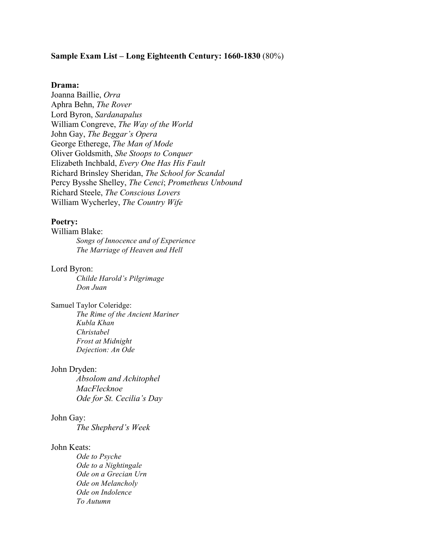## **Sample Exam List – Long Eighteenth Century: 1660-1830** (80%)

### **Drama:**

Joanna Baillie, *Orra* Aphra Behn, *The Rover* Lord Byron, *Sardanapalus* William Congreve, *The Way of the World* John Gay, *The Beggar's Opera* George Etherege, *The Man of Mode* Oliver Goldsmith, *She Stoops to Conquer* Elizabeth Inchbald, *Every One Has His Fault* Richard Brinsley Sheridan, *The School for Scandal* Percy Bysshe Shelley, *The Cenci*; *Prometheus Unbound* Richard Steele, *The Conscious Lovers* William Wycherley, *The Country Wife*

## **Poetry:**

William Blake: *Songs of Innocence and of Experience The Marriage of Heaven and Hell*

## Lord Byron:

*Childe Harold's Pilgrimage Don Juan*

## Samuel Taylor Coleridge:

*The Rime of the Ancient Mariner Kubla Khan Christabel Frost at Midnight Dejection: An Ode*

### John Dryden:

*Absolom and Achitophel MacFlecknoe Ode for St. Cecilia's Day*

#### John Gay:

*The Shepherd's Week*

## John Keats:

*Ode to Psyche Ode to a Nightingale Ode on a Grecian Urn Ode on Melancholy Ode on Indolence To Autumn*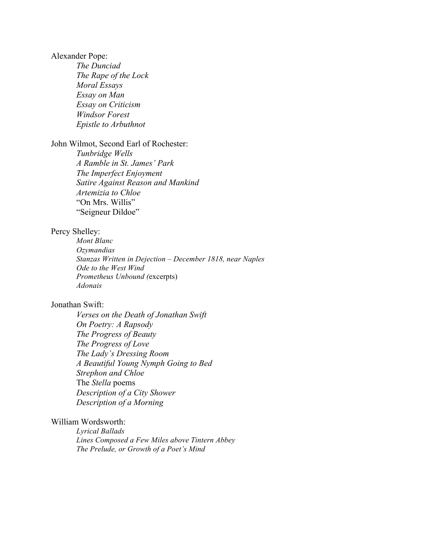## Alexander Pope:

*The Dunciad The Rape of the Lock Moral Essays Essay on Man Essay on Criticism Windsor Forest Epistle to Arbuthnot*

# John Wilmot, Second Earl of Rochester:

*Tunbridge Wells A Ramble in St. James' Park The Imperfect Enjoyment Satire Against Reason and Mankind Artemizia to Chloe* "On Mrs. Willis" "Seigneur Dildoe"

# Percy Shelley:

*Mont Blanc Ozymandias Stanzas Written in Dejection – December 1818, near Naples Ode to the West Wind Prometheus Unbound (*excerpts) *Adonais*

## Jonathan Swift:

*Verses on the Death of Jonathan Swift On Poetry: A Rapsody The Progress of Beauty The Progress of Love The Lady's Dressing Room A Beautiful Young Nymph Going to Bed Strephon and Chloe* The *Stella* poems *Description of a City Shower Description of a Morning*

# William Wordsworth:

*Lyrical Ballads Lines Composed a Few Miles above Tintern Abbey The Prelude, or Growth of a Poet's Mind*